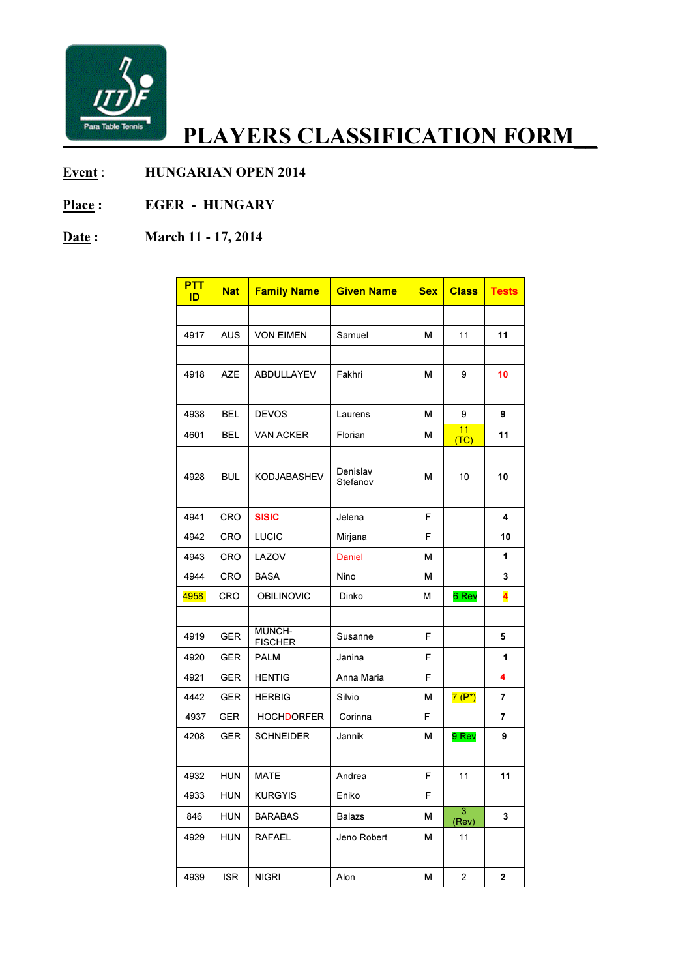

## PLAYERS CLASSIFICATION FORM\_

## Event : HUNGARIAN OPEN 2014

Place : EGER - HUNGARY

## Date: March 11 - 17, 2014

| <b>PTT</b><br>ID | <b>Nat</b> | <b>Family Name</b>       | <b>Given Name</b>    | <b>Sex</b> | <b>Class</b>            | <b>Tests</b>            |
|------------------|------------|--------------------------|----------------------|------------|-------------------------|-------------------------|
|                  |            |                          |                      |            |                         |                         |
| 4917             | <b>AUS</b> | <b>VON EIMEN</b>         | Samuel               | М          | 11                      | 11                      |
|                  |            |                          |                      |            |                         |                         |
| 4918             | <b>AZE</b> | ABDULLAYEV               | Fakhri               | м          | 9                       | 10                      |
|                  |            |                          |                      |            |                         |                         |
| 4938             | <b>BEL</b> | <b>DEVOS</b>             | Laurens              | М          | 9                       | 9                       |
| 4601             | BEL        | VAN ACKER                | Florian              | м          | 11<br>(TC)              | 11                      |
|                  |            |                          |                      |            |                         |                         |
| 4928             | <b>BUL</b> | <b>KODJABASHEV</b>       | Denislav<br>Stefanov | М          | 10                      | 10                      |
|                  |            |                          |                      |            |                         |                         |
| 4941             | <b>CRO</b> | <b>SISIC</b>             | Jelena               | F          |                         | 4                       |
| 4942             | CRO        | <b>LUCIC</b>             | Mirjana              | F          |                         | 10                      |
| 4943             | CRO        | LAZOV                    | <b>Daniel</b>        | М          |                         | 1                       |
| 4944             | CRO        | BASA                     | <b>Nino</b>          | М          |                         | 3                       |
| 4958             | CRO        | <b>OBILINOVIC</b>        | Dinko                | м          | 6 Rev                   | $\overline{\textbf{4}}$ |
|                  |            |                          |                      |            |                         |                         |
| 4919             | <b>GER</b> | MUNCH-<br><b>FISCHER</b> | Susanne              | F          |                         | 5                       |
| 4920             | <b>GER</b> | PALM                     | Janina               | F          |                         | 1                       |
| 4921             | <b>GER</b> | <b>HENTIG</b>            | Anna Maria           | F          |                         | 4                       |
| 4442             | <b>GER</b> | <b>HERBIG</b>            | Silvio               | м          | $7(P^*)$                | 7                       |
| 4937             | <b>GER</b> | HOCHDORFER               | Corinna              | F          |                         | 7                       |
| 4208             | <b>GER</b> | <b>SCHNEIDER</b>         | Jannik               | М          | 9 Rev                   | 9                       |
|                  |            |                          |                      |            |                         |                         |
| 4932             | <b>HUN</b> | <b>MATE</b>              | Andrea               | F          | 11                      | 11                      |
| 4933             | <b>HUN</b> | <b>KURGYIS</b>           | Eniko                | F          |                         |                         |
| 846              | <b>HUN</b> | <b>BARABAS</b>           | Balazs               | М          | $\overline{3}$<br>(Rev) | 3                       |
| 4929             | <b>HUN</b> | <b>RAFAEL</b>            | Jeno Robert          | М          | 11                      |                         |
|                  |            |                          |                      |            |                         |                         |
| 4939             | <b>ISR</b> | <b>NIGRI</b>             | Alon                 | М          | $\overline{c}$          | $\mathbf 2$             |